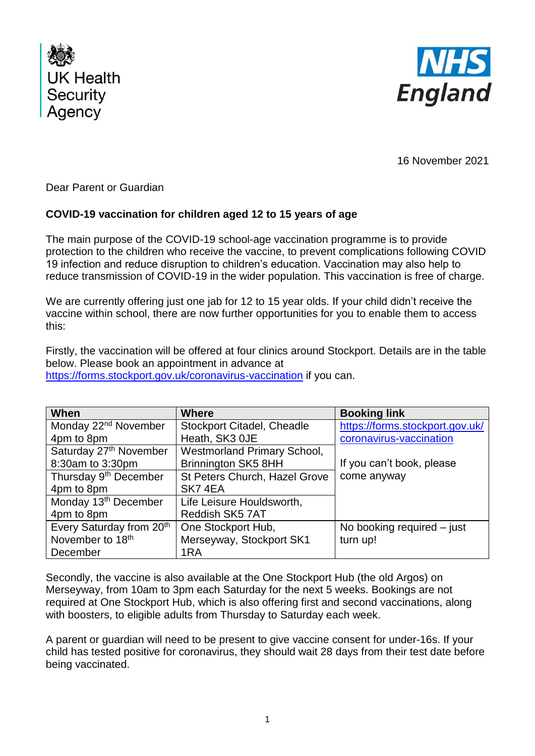



16 November 2021

Dear Parent or Guardian

## **COVID-19 vaccination for children aged 12 to 15 years of age**

The main purpose of the COVID-19 school-age vaccination programme is to provide protection to the children who receive the vaccine, to prevent complications following COVID 19 infection and reduce disruption to children's education. Vaccination may also help to reduce transmission of COVID-19 in the wider population. This vaccination is free of charge.

We are currently offering just one jab for 12 to 15 year olds. If your child didn't receive the vaccine within school, there are now further opportunities for you to enable them to access this:

Firstly, the vaccination will be offered at four clinics around Stockport. Details are in the table below. Please book an appointment in advance at <https://forms.stockport.gov.uk/coronavirus-vaccination> if you can.

| When                              | <b>Where</b>                       | <b>Booking link</b>             |
|-----------------------------------|------------------------------------|---------------------------------|
| Monday 22 <sup>nd</sup> November  | <b>Stockport Citadel, Cheadle</b>  | https://forms.stockport.gov.uk/ |
| 4pm to 8pm                        | Heath, SK3 OJE                     | coronavirus-vaccination         |
| Saturday 27th November            | <b>Westmorland Primary School,</b> |                                 |
| 8:30am to 3:30pm                  | <b>Brinnington SK5 8HH</b>         | If you can't book, please       |
| Thursday 9 <sup>th</sup> December | St Peters Church, Hazel Grove      | come anyway                     |
| 4pm to 8pm                        | SK74EA                             |                                 |
| Monday 13 <sup>th</sup> December  | Life Leisure Houldsworth,          |                                 |
| 4pm to 8pm                        | Reddish SK5 7AT                    |                                 |
| Every Saturday from 20th          | One Stockport Hub,                 | No booking required $-$ just    |
| November to 18 <sup>th</sup>      | Merseyway, Stockport SK1           | turn up!                        |
| December                          | 1RA                                |                                 |

Secondly, the vaccine is also available at the One Stockport Hub (the old Argos) on Merseyway, from 10am to 3pm each Saturday for the next 5 weeks. Bookings are not required at One Stockport Hub, which is also offering first and second vaccinations, along with boosters, to eligible adults from Thursday to Saturday each week.

A parent or guardian will need to be present to give vaccine consent for under-16s. If your child has tested positive for coronavirus, they should wait 28 days from their test date before being vaccinated.